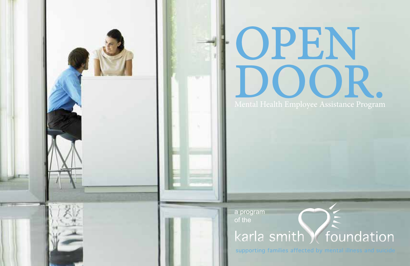

# OPEN DOOR.

karla smith (foundation

supporting families affected by mental

a program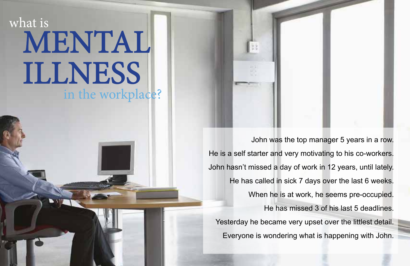# MENTAL ILLNESS what is in the workplace?

John was the top manager 5 years in a row. He is a self starter and very motivating to his co-workers. John hasn't missed a day of work in 12 years, until lately. He has called in sick 7 days over the last 6 weeks. When he is at work, he seems pre-occupied. He has missed 3 of his last 5 deadlines. Yesterday he became very upset over the littlest detail. Everyone is wondering what is happening with John.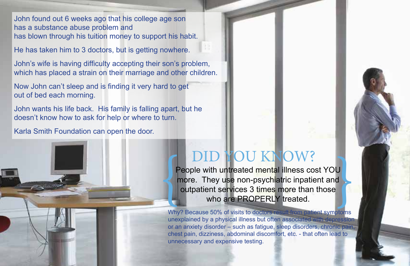John found out 6 weeks ago that his college age son has a substance abuse problem and has blown through his tuition money to support his habit.

He has taken him to 3 doctors, but is getting nowhere.

John's wife is having difficulty accepting their son's problem, which has placed a strain on their marriage and other children.

Now John can't sleep and is finding it very hard to get out of bed each morning.

John wants his life back. His family is falling apart, but he doesn't know how to ask for help or where to turn.

Karla Smith Foundation can open the door.

## DID YOU KNOW?

People with untreated mental illness cost YOU more. They use non-psychiatric inpatient and **OUTERLY SERVICES AND MOURAGE SERVICES**<br>
They use non-psychiatric inpatient and<br>
outpatient services 3 times more than those<br>
who are PROPERLY treated.

Why? Because 50% of visits to doctors result from patient symptoms unexplained by a physical illness but often associated with depression or an anxiety disorder – such as fatigue, sleep disorders, chronic pain, chest pain, dizziness, abdominal discomfort, etc. - that often lead to unnecessary and expensive testing.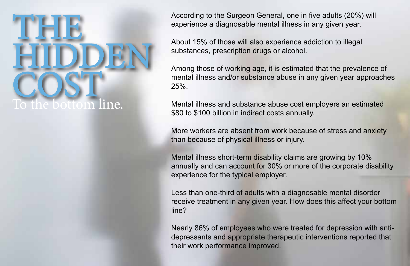

According to the Surgeon General, one in five adults (20%) will experience a diagnosable mental illness in any given year.

About 15% of those will also experience addiction to illegal substances, prescription drugs or alcohol.

Among those of working age, it is estimated that the prevalence of mental illness and/or substance abuse in any given year approaches 25%.

Mental illness and substance abuse cost employers an estimated \$80 to \$100 billion in indirect costs annually.

More workers are absent from work because of stress and anxiety than because of physical illness or injury.

Mental illness short-term disability claims are growing by 10% annually and can account for 30% or more of the corporate disability experience for the typical employer.

Less than one-third of adults with a diagnosable mental disorder receive treatment in any given year. How does this affect your bottom line?

Nearly 86% of employees who were treated for depression with antidepressants and appropriate therapeutic interventions reported that their work performance improved.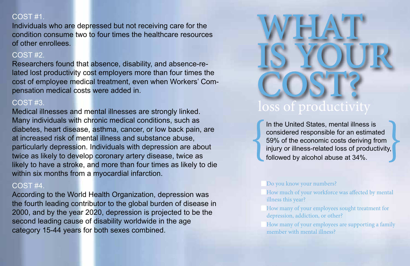## COST #1.

Individuals who are depressed but not receiving care for the condition consume two to four times the healthcare resources of other enrollees.

### COST #2.

Researchers found that absence, disability, and absence-related lost productivity cost employers more than four times the cost of employee medical treatment, even when Workers' Compensation medical costs were added in.

## COST #3.

Medical illnesses and mental illnesses are strongly linked. Many individuals with chronic medical conditions, such as diabetes, heart disease, asthma, cancer, or low back pain, are at increased risk of mental illness and substance abuse, particularly depression. Individuals with depression are about twice as likely to develop coronary artery disease, twice as likely to have a stroke, and more than four times as likely to die within six months from a myocardial infarction.

### COST #4.

According to the World Health Organization, depression was the fourth leading contributor to the global burden of disease in 2000, and by the year 2020, depression is projected to be the second leading cause of disability worldwide in the age category 15-44 years for both sexes combined.



In the United States, mental illness is considered responsible for an estimated 59% of the economic costs deriving from In the United States, mental illness is<br>considered responsible for an estimated<br>59% of the economic costs deriving from<br>injury or illness-related loss of productivity,<br>followed by alcohol abuse at 34%.

### Do you know your numbers?

- How much of your workforce was afected by mental illness this year?
- How many of your employees sought treatment for depression, addiction, or other?

How many of your employees are supporting a family member with mental illness?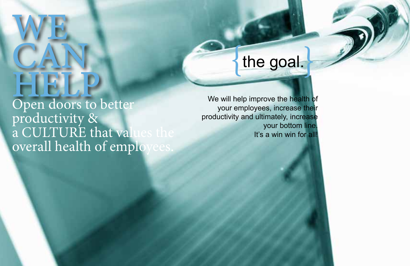# WE. CAN HELP

Open doors to better productivity & a CULTURE that values the overall health of employees.

## the goal.

We will help improve the health of your employees, increase their productivity and ultimately, increase your bottom line. It's a win win for all!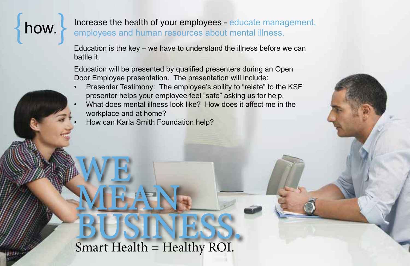**how.** Increase the health of your employees - educate management, employees and human resources about mental illness.

> Education is the key – we have to understand the illness before we can battle it.

Education will be presented by qualified presenters during an Open Door Employee presentation. The presentation will include:

- Presenter Testimony: The employee's ability to "relate" to the KSF presenter helps your employee feel "safe" asking us for help.
- What does mental illness look like? How does it affect me in the workplace and at home?
- How can Karla Smith Foundation help?

WE,

MEAN.

BUSINESS. Smart Health = Healthy ROI.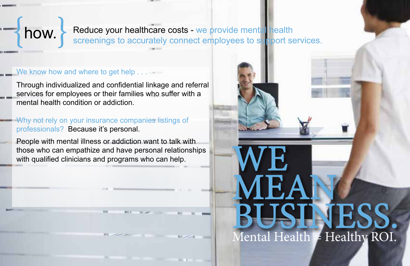how.

Reduce your healthcare costs - we provide mental health screenings to accurately connect employees to support services.

**WE** 

MEAN.

**BUSINESS.** 

Mental Health = Healthy ROI.

### We know how and where to get help . . .

Through individualized and confidential linkage and referral services for employees or their families who suffer with a mental health condition or addiction.

Why not rely on your insurance companies listings of professionals? Because it's personal.

People with mental illness or addiction want to talk with those who can empathize and have personal relationships with qualified clinicians and programs who can help.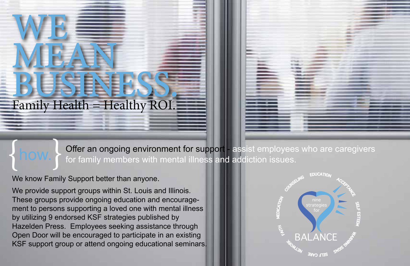# MEART BUSINESS. Family Health = Healthy ROI.



Offer an ongoing environment for support - assist employees who are caregivers for family members with mental illness and addiction issues.

We know Family Support better than anyone.  $\{$ how. $\}$ 

WE.

We provide support groups within St. Louis and Illinois. These groups provide ongoing education and encouragement to persons supporting a loved one with mental illness by utilizing 9 endorsed KSF strategies published by Hazelden Press. Employees seeking assistance through Open Door will be encouraged to participate in an existing KSF support group or attend ongoing educational seminars.

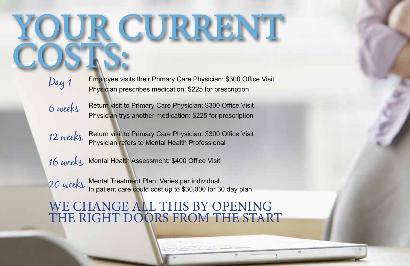# **Y CURRENT** COSTS:

Day 1

Physician prescribes medication: \$225 for prescription Employee visits their Primary Care Physician: \$300 Office Visit

Return visit to Primary Care Physician: \$300 Office Visit Physician trys another medication: \$225 for prescription 6 weeks

Return visit to Primary Care Physician: \$300 Office Visit 12 weeks Return visit to Primary Care Physician: \$300 O<br>Physician refers to Mental Health Professional

 $16\;\rm{week}$  Mental Health Assessment: \$400 Office Visit

20 weeks Mental Treatment Plan: Varies per individual.<br>20 weeks In patient care could cost up to \$30,000 for 30 day plan.

WE CHANGE ALL THIS BY OPENING THE RIGHT DOORS FROM THE START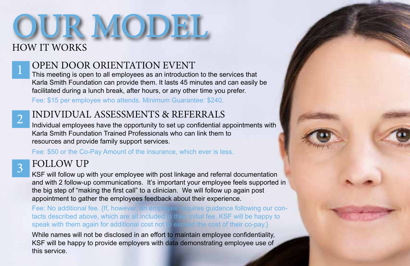# OUR MODEL HOW IT WORKS

## OPEN DOOR ORIENTATION EVENT<br>This meeting is open to all employees as an introduction to the services that

Karla Smith Foundation can provide them. It lasts 45 minutes and can easily be facilitated during a lunch break, after hours, or any other time you prefer.

Fee: \$15 per employee who attends. Minimum Guarantee: \$240.



## 2 INDIVIDUAL ASSESSMENTS & REFERRALS

Individual employees have the opportunity to set up confidential appointments with Karla Smith Foundation Trained Professionals who can link them to resources and provide family support services.

Fee: \$50 or the Co-Pay Amount of the insurance, which ever is less.

## 3 FOLLOW UP

KSF will follow up with your employee with post linkage and referral documentation and with 2 follow-up communications. It's important your employee feels supported in the big step of "making the first call" to a clinician. We will follow up again post appointment to gather the employees feedback about their experience.

Fee: No additional fee. {If, however, an employee requires guidance following our contacts described above, which are all included in their initial fee, KSF will be happy to speak with them again for additional cost not to exceed the cost of their co-pay.}

While names will not be disclosed in an effort to maintain employee confidentiality, KSF will be happy to provide employers with data demonstrating employee use of this service.